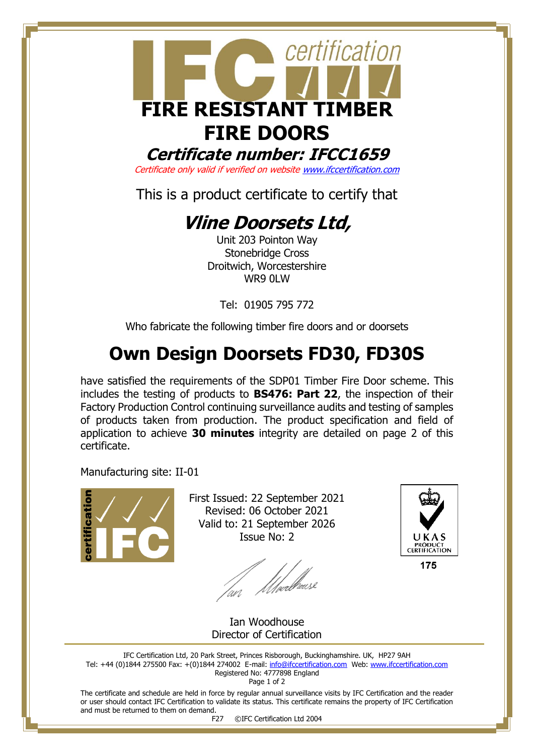

**Certificate number: IFCC1659**

Certificate only valid if verified on websit[e www.ifccertification.com](http://www.ifccertification.com/)

This is a product certificate to certify that

## **Vline Doorsets Ltd,**

Unit 203 Pointon Way Stonebridge Cross Droitwich, Worcestershire WR9 0LW

Tel: 01905 795 772

Who fabricate the following timber fire doors and or doorsets

## **Own Design Doorsets FD30, FD30S**

have satisfied the requirements of the SDP01 Timber Fire Door scheme. This includes the testing of products to **BS476: Part 22**, the inspection of their Factory Production Control continuing surveillance audits and testing of samples of products taken from production. The product specification and field of application to achieve **30 minutes** integrity are detailed on page 2 of this certificate.

Manufacturing site: II-01



First Issued: 22 September 2021 Revised: 06 October 2021 Valid to: 21 September 2026 Issue No: 2

lan Moedhouse



Ian Woodhouse Director of Certification

IFC Certification Ltd, 20 Park Street, Princes Risborough, Buckinghamshire. UK, HP27 9AH Tel: +44 (0)1844 275500 Fax: +(0)1844 274002 E-mail[: info@ifccertification.com](mailto:info@ifccertification.com) Web: [www.ifccertification.com](http://www.ifccertification.com/) Registered No: 4777898 England

Page 1 of 2

The certificate and schedule are held in force by regular annual surveillance visits by IFC Certification and the reader or user should contact IFC Certification to validate its status. This certificate remains the property of IFC Certification and must be returned to them on demand.

F27 ©IFC Certification Ltd 2004